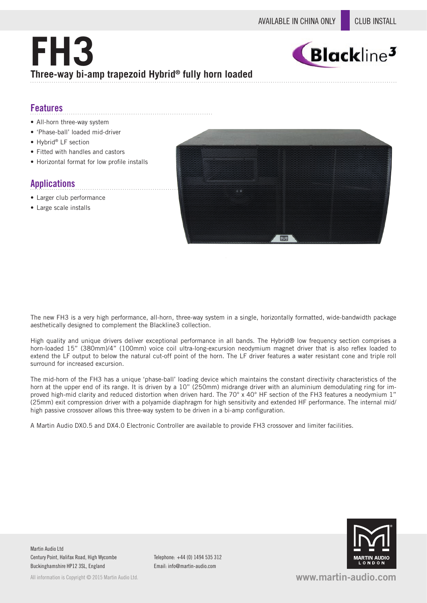# **FH3 Three-way bi-amp trapezoid Hybrid® fully horn loaded**



### **Features**

- All-horn three-way system
- 'Phase-ball' loaded mid-driver
- Hybrid® LF section
- Fitted with handles and castors
- Horizontal format for low profile installs

## **Applications**

- Larger club performance
- Large scale installs



The new FH3 is a very high performance, all-horn, three-way system in a single, horizontally formatted, wide-bandwidth package aesthetically designed to complement the Blackline3 collection.

High quality and unique drivers deliver exceptional performance in all bands. The Hybrid® low frequency section comprises a horn-loaded 15" (380mm)/4" (100mm) voice coil ultra-long-excursion neodymium magnet driver that is also reflex loaded to extend the LF output to below the natural cut-off point of the horn. The LF driver features a water resistant cone and triple roll surround for increased excursion.

The mid-horn of the FH3 has a unique 'phase-ball' loading device which maintains the constant directivity characteristics of the horn at the upper end of its range. It is driven by a 10" (250mm) midrange driver with an aluminium demodulating ring for improved high-mid clarity and reduced distortion when driven hard. The 70° x 40° HF section of the FH3 features a neodymium 1" (25mm) exit compression driver with a polyamide diaphragm for high sensitivity and extended HF performance. The internal mid/ high passive crossover allows this three-way system to be driven in a bi-amp configuration.

A Martin Audio DX0.5 and DX4.0 Electronic Controller are available to provide FH3 crossover and limiter facilities.



Martin Audio Ltd Century Point, Halifax Road, High Wycombe Buckinghamshire HP12 3SL, England

All information is Convright © 2015 Martin Audio Ltd.

Telephone: +44 (0) 1494 535 312 Email: info@martin-audio.com

**www.martin-audio.com**